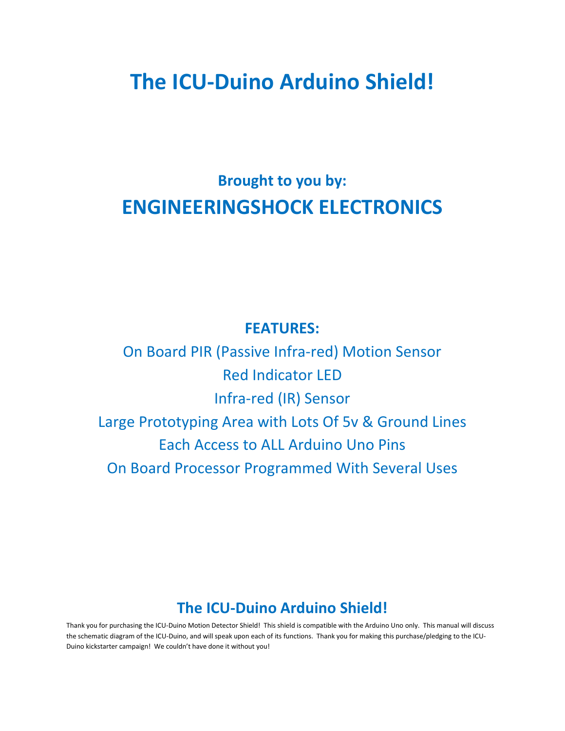# **The ICU-Duino Arduino Shield!**

## **Brought to you by: ENGINEERINGSHOCK ELECTRONICS**

#### **FEATURES:**

On Board PIR (Passive Infra-red) Motion Sensor Red Indicator LED Infra-red (IR) Sensor Large Prototyping Area with Lots Of 5v & Ground Lines Each Access to ALL Arduino Uno Pins On Board Processor Programmed With Several Uses

#### **The ICU-Duino Arduino Shield!**

Thank you for purchasing the ICU-Duino Motion Detector Shield! This shield is compatible with the Arduino Uno only. This manual will discuss the schematic diagram of the ICU-Duino, and will speak upon each of its functions. Thank you for making this purchase/pledging to the ICU-Duino kickstarter campaign! We couldn't have done it without you!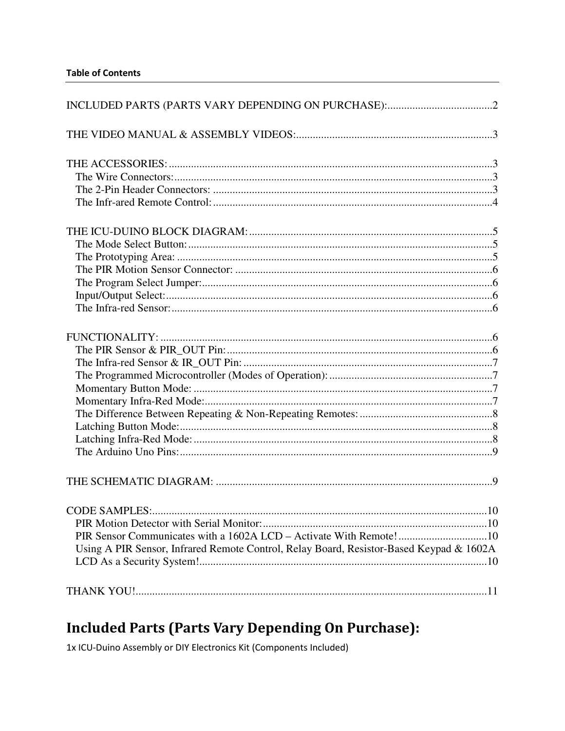| PIR Sensor Communicates with a 1602A LCD - Activate With Remote!10                      |  |
|-----------------------------------------------------------------------------------------|--|
| Using A PIR Sensor, Infrared Remote Control, Relay Board, Resistor-Based Keypad & 1602A |  |
|                                                                                         |  |
|                                                                                         |  |
|                                                                                         |  |

## **Included Parts (Parts Vary Depending On Purchase):**

1x ICU-Duino Assembly or DIY Electronics Kit (Components Included)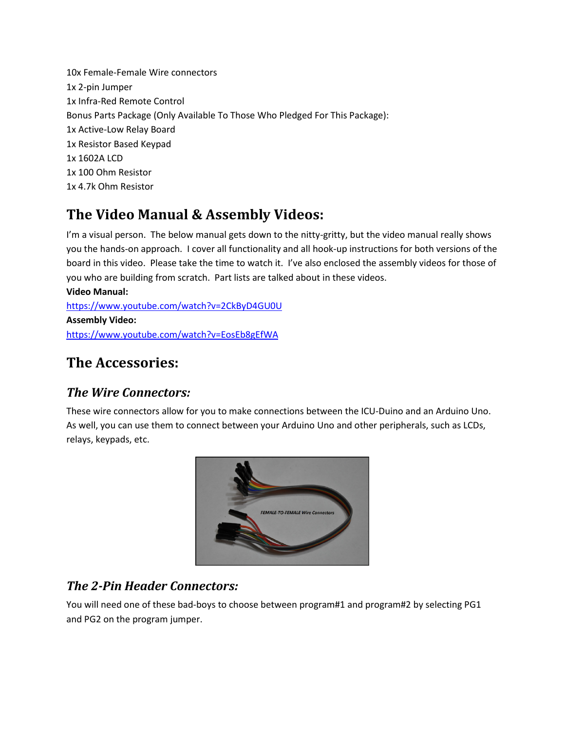10x Female-Female Wire connectors 1x 2-pin Jumper 1x Infra-Red Remote Control Bonus Parts Package (Only Available To Those Who Pledged For This Package): 1x Active-Low Relay Board 1x Resistor Based Keypad 1x 1602A LCD 1x 100 Ohm Resistor 1x 4.7k Ohm Resistor

## **The Video Manual & Assembly Videos:**

I'm a visual person. The below manual gets down to the nitty-gritty, but the video manual really shows you the hands-on approach. I cover all functionality and all hook-up instructions for both versions of the board in this video. Please take the time to watch it. I've also enclosed the assembly videos for those of you who are building from scratch. Part lists are talked about in these videos.

**Video Manual:**  https://www.youtube.com/watch?v=2CkByD4GU0U **Assembly Video:**  https://www.youtube.com/watch?v=EosEb8gEfWA

### **The Accessories:**

#### *The Wire Connectors:*

These wire connectors allow for you to make connections between the ICU-Duino and an Arduino Uno. As well, you can use them to connect between your Arduino Uno and other peripherals, such as LCDs, relays, keypads, etc.



#### *The 2-Pin Header Connectors:*

You will need one of these bad-boys to choose between program#1 and program#2 by selecting PG1 and PG2 on the program jumper.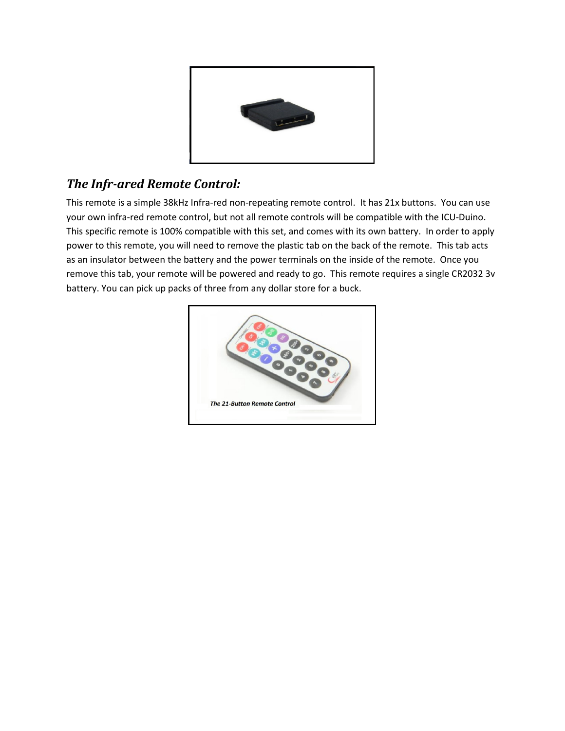

#### *The Infr-ared Remote Control:*

This remote is a simple 38kHz Infra-red non-repeating remote control. It has 21x buttons. You can use your own infra-red remote control, but not all remote controls will be compatible with the ICU-Duino. This specific remote is 100% compatible with this set, and comes with its own battery. In order to apply power to this remote, you will need to remove the plastic tab on the back of the remote. This tab acts as an insulator between the battery and the power terminals on the inside of the remote. Once you remove this tab, your remote will be powered and ready to go. This remote requires a single CR2032 3v battery. You can pick up packs of three from any dollar store for a buck.

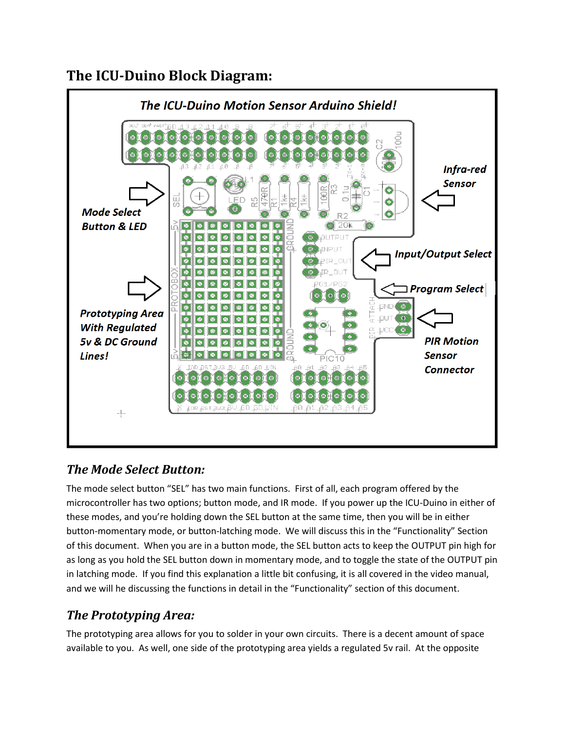## **The ICU-Duino Block Diagram:**



#### *The Mode Select Button:*

The mode select button "SEL" has two main functions. First of all, each program offered by the microcontroller has two options; button mode, and IR mode. If you power up the ICU-Duino in either of these modes, and you're holding down the SEL button at the same time, then you will be in either button-momentary mode, or button-latching mode. We will discuss this in the "Functionality" Section of this document. When you are in a button mode, the SEL button acts to keep the OUTPUT pin high for as long as you hold the SEL button down in momentary mode, and to toggle the state of the OUTPUT pin in latching mode. If you find this explanation a little bit confusing, it is all covered in the video manual, and we will he discussing the functions in detail in the "Functionality" section of this document.

#### *The Prototyping Area:*

The prototyping area allows for you to solder in your own circuits. There is a decent amount of space available to you. As well, one side of the prototyping area yields a regulated 5v rail. At the opposite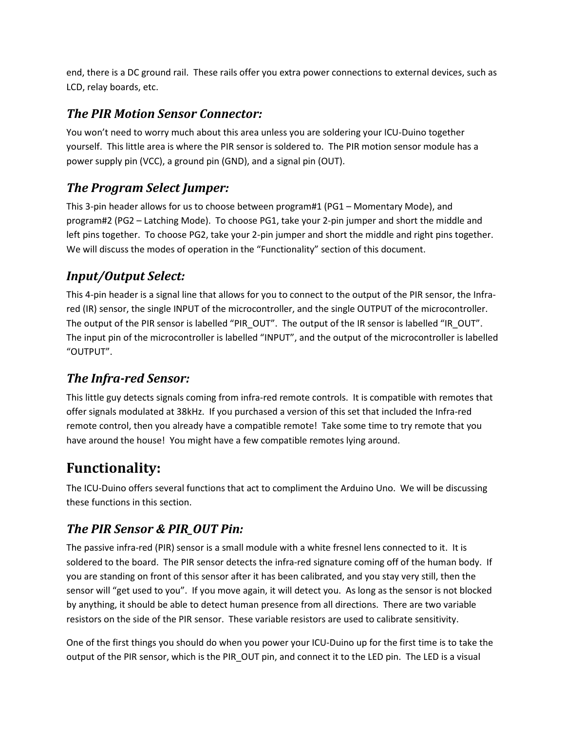end, there is a DC ground rail. These rails offer you extra power connections to external devices, such as LCD, relay boards, etc.

#### *The PIR Motion Sensor Connector:*

You won't need to worry much about this area unless you are soldering your ICU-Duino together yourself. This little area is where the PIR sensor is soldered to. The PIR motion sensor module has a power supply pin (VCC), a ground pin (GND), and a signal pin (OUT).

#### *The Program Select Jumper:*

This 3-pin header allows for us to choose between program#1 (PG1 – Momentary Mode), and program#2 (PG2 – Latching Mode). To choose PG1, take your 2-pin jumper and short the middle and left pins together. To choose PG2, take your 2-pin jumper and short the middle and right pins together. We will discuss the modes of operation in the "Functionality" section of this document.

#### *Input/Output Select:*

This 4-pin header is a signal line that allows for you to connect to the output of the PIR sensor, the Infrared (IR) sensor, the single INPUT of the microcontroller, and the single OUTPUT of the microcontroller. The output of the PIR sensor is labelled "PIR\_OUT". The output of the IR sensor is labelled "IR\_OUT". The input pin of the microcontroller is labelled "INPUT", and the output of the microcontroller is labelled "OUTPUT".

#### *The Infra-red Sensor:*

This little guy detects signals coming from infra-red remote controls. It is compatible with remotes that offer signals modulated at 38kHz. If you purchased a version of this set that included the Infra-red remote control, then you already have a compatible remote! Take some time to try remote that you have around the house! You might have a few compatible remotes lying around.

## **Functionality:**

The ICU-Duino offers several functions that act to compliment the Arduino Uno. We will be discussing these functions in this section.

#### *The PIR Sensor & PIR\_OUT Pin:*

The passive infra-red (PIR) sensor is a small module with a white fresnel lens connected to it. It is soldered to the board. The PIR sensor detects the infra-red signature coming off of the human body. If you are standing on front of this sensor after it has been calibrated, and you stay very still, then the sensor will "get used to you". If you move again, it will detect you. As long as the sensor is not blocked by anything, it should be able to detect human presence from all directions. There are two variable resistors on the side of the PIR sensor. These variable resistors are used to calibrate sensitivity.

One of the first things you should do when you power your ICU-Duino up for the first time is to take the output of the PIR sensor, which is the PIR\_OUT pin, and connect it to the LED pin. The LED is a visual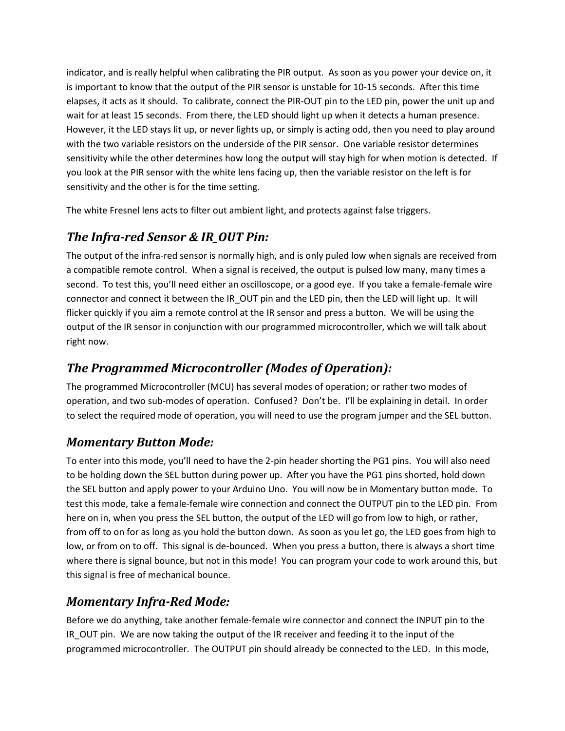indicator, and is really helpful when calibrating the PIR output. As soon as you power your device on, it is important to know that the output of the PIR sensor is unstable for 10-15 seconds. After this time elapses, it acts as it should. To calibrate, connect the PIR-OUT pin to the LED pin, power the unit up and wait for at least 15 seconds. From there, the LED should light up when it detects a human presence. However, it the LED stays lit up, or never lights up, or simply is acting odd, then you need to play around with the two variable resistors on the underside of the PIR sensor. One variable resistor determines sensitivity while the other determines how long the output will stay high for when motion is detected. If you look at the PIR sensor with the white lens facing up, then the variable resistor on the left is for sensitivity and the other is for the time setting.

The white Fresnel lens acts to filter out ambient light, and protects against false triggers.

#### *The Infra-red Sensor & IR\_OUT Pin:*

The output of the infra-red sensor is normally high, and is only puled low when signals are received from a compatible remote control. When a signal is received, the output is pulsed low many, many times a second. To test this, you'll need either an oscilloscope, or a good eye. If you take a female-female wire connector and connect it between the IR\_OUT pin and the LED pin, then the LED will light up. It will flicker quickly if you aim a remote control at the IR sensor and press a button. We will be using the output of the IR sensor in conjunction with our programmed microcontroller, which we will talk about right now.

#### *The Programmed Microcontroller (Modes of Operation):*

The programmed Microcontroller (MCU) has several modes of operation; or rather two modes of operation, and two sub-modes of operation. Confused? Don't be. I'll be explaining in detail. In order to select the required mode of operation, you will need to use the program jumper and the SEL button.

#### *Momentary Button Mode:*

To enter into this mode, you'll need to have the 2-pin header shorting the PG1 pins. You will also need to be holding down the SEL button during power up. After you have the PG1 pins shorted, hold down the SEL button and apply power to your Arduino Uno. You will now be in Momentary button mode. To test this mode, take a female-female wire connection and connect the OUTPUT pin to the LED pin. From here on in, when you press the SEL button, the output of the LED will go from low to high, or rather, from off to on for as long as you hold the button down. As soon as you let go, the LED goes from high to low, or from on to off. This signal is de-bounced. When you press a button, there is always a short time where there is signal bounce, but not in this mode! You can program your code to work around this, but this signal is free of mechanical bounce.

#### *Momentary Infra-Red Mode:*

Before we do anything, take another female-female wire connector and connect the INPUT pin to the IR OUT pin. We are now taking the output of the IR receiver and feeding it to the input of the programmed microcontroller. The OUTPUT pin should already be connected to the LED. In this mode,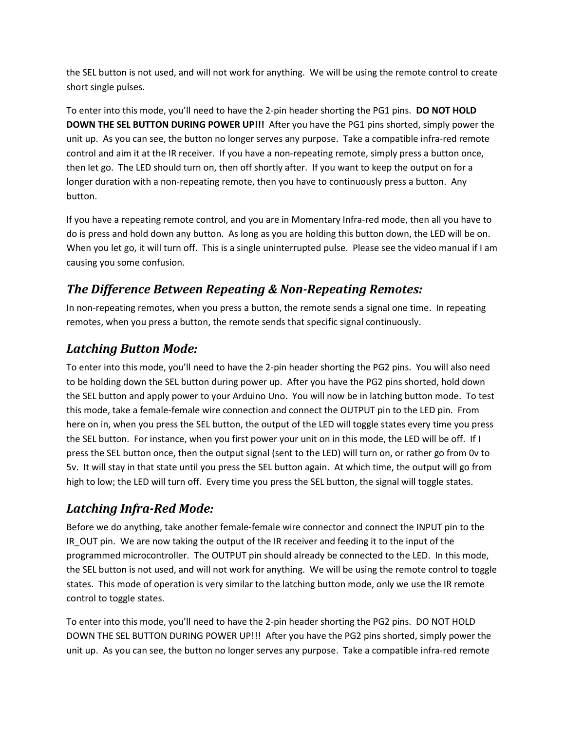the SEL button is not used, and will not work for anything. We will be using the remote control to create short single pulses.

To enter into this mode, you'll need to have the 2-pin header shorting the PG1 pins. **DO NOT HOLD DOWN THE SEL BUTTON DURING POWER UP!!!** After you have the PG1 pins shorted, simply power the unit up. As you can see, the button no longer serves any purpose. Take a compatible infra-red remote control and aim it at the IR receiver. If you have a non-repeating remote, simply press a button once, then let go. The LED should turn on, then off shortly after. If you want to keep the output on for a longer duration with a non-repeating remote, then you have to continuously press a button. Any button.

If you have a repeating remote control, and you are in Momentary Infra-red mode, then all you have to do is press and hold down any button. As long as you are holding this button down, the LED will be on. When you let go, it will turn off. This is a single uninterrupted pulse. Please see the video manual if I am causing you some confusion.

#### *The Difference Between Repeating & Non-Repeating Remotes:*

In non-repeating remotes, when you press a button, the remote sends a signal one time. In repeating remotes, when you press a button, the remote sends that specific signal continuously.

#### *Latching Button Mode:*

To enter into this mode, you'll need to have the 2-pin header shorting the PG2 pins. You will also need to be holding down the SEL button during power up. After you have the PG2 pins shorted, hold down the SEL button and apply power to your Arduino Uno. You will now be in latching button mode. To test this mode, take a female-female wire connection and connect the OUTPUT pin to the LED pin. From here on in, when you press the SEL button, the output of the LED will toggle states every time you press the SEL button. For instance, when you first power your unit on in this mode, the LED will be off. If I press the SEL button once, then the output signal (sent to the LED) will turn on, or rather go from 0v to 5v. It will stay in that state until you press the SEL button again. At which time, the output will go from high to low; the LED will turn off. Every time you press the SEL button, the signal will toggle states.

#### *Latching Infra-Red Mode:*

Before we do anything, take another female-female wire connector and connect the INPUT pin to the IR\_OUT pin. We are now taking the output of the IR receiver and feeding it to the input of the programmed microcontroller. The OUTPUT pin should already be connected to the LED. In this mode, the SEL button is not used, and will not work for anything. We will be using the remote control to toggle states. This mode of operation is very similar to the latching button mode, only we use the IR remote control to toggle states.

To enter into this mode, you'll need to have the 2-pin header shorting the PG2 pins. DO NOT HOLD DOWN THE SEL BUTTON DURING POWER UP!!! After you have the PG2 pins shorted, simply power the unit up. As you can see, the button no longer serves any purpose. Take a compatible infra-red remote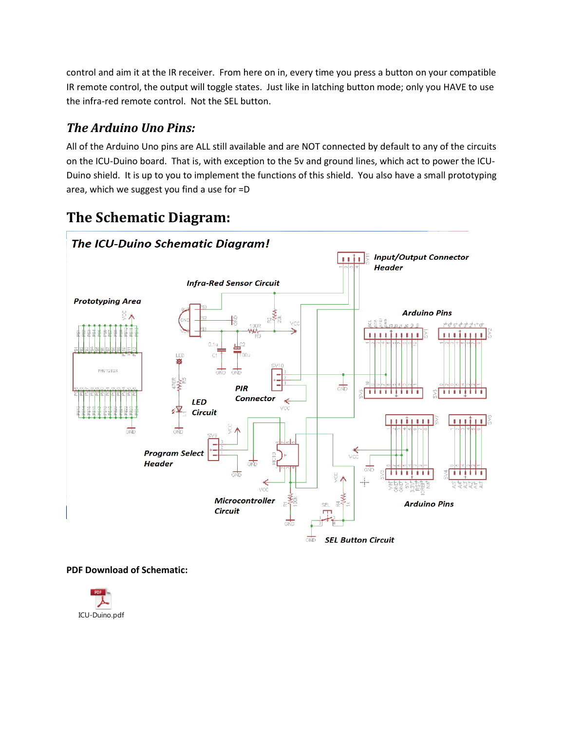control and aim it at the IR receiver. From here on in, every time you press a button on your compatible IR remote control, the output will toggle states. Just like in latching button mode; only you HAVE to use the infra-red remote control. Not the SEL button.

#### *The Arduino Uno Pins:*

All of the Arduino Uno pins are ALL still available and are NOT connected by default to any of the circuits on the ICU-Duino board. That is, with exception to the 5v and ground lines, which act to power the ICU-Duino shield. It is up to you to implement the functions of this shield. You also have a small prototyping area, which we suggest you find a use for =D

## **The Schematic Diagram:**



#### **PDF Download of Schematic:**

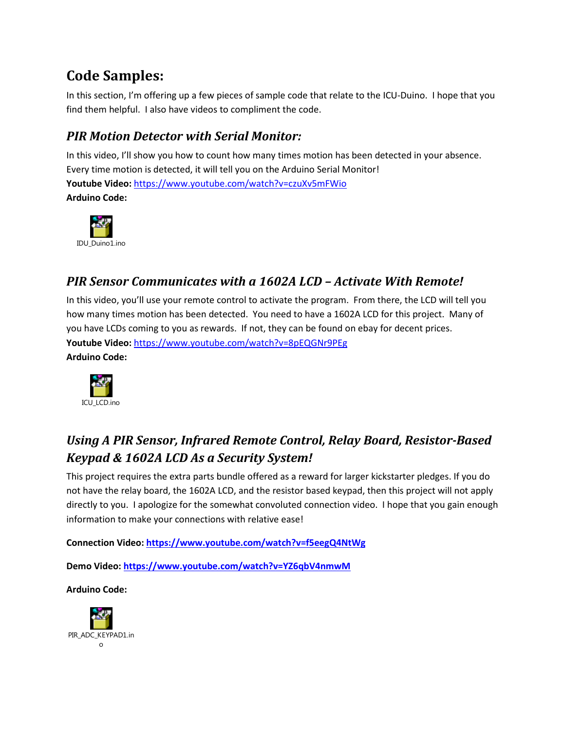## **Code Samples:**

In this section, I'm offering up a few pieces of sample code that relate to the ICU-Duino. I hope that you find them helpful. I also have videos to compliment the code.

### *PIR Motion Detector with Serial Monitor:*

In this video, I'll show you how to count how many times motion has been detected in your absence. Every time motion is detected, it will tell you on the Arduino Serial Monitor! **Youtube Video:** https://www.youtube.com/watch?v=czuXv5mFWio **Arduino Code:** 



#### *PIR Sensor Communicates with a 1602A LCD – Activate With Remote!*

In this video, you'll use your remote control to activate the program. From there, the LCD will tell you how many times motion has been detected. You need to have a 1602A LCD for this project. Many of you have LCDs coming to you as rewards. If not, they can be found on ebay for decent prices. **Youtube Video:** https://www.youtube.com/watch?v=8pEQGNr9PEg **Arduino Code:** 



## *Using A PIR Sensor, Infrared Remote Control, Relay Board, Resistor-Based Keypad & 1602A LCD As a Security System!*

This project requires the extra parts bundle offered as a reward for larger kickstarter pledges. If you do not have the relay board, the 1602A LCD, and the resistor based keypad, then this project will not apply directly to you. I apologize for the somewhat convoluted connection video. I hope that you gain enough information to make your connections with relative ease!

**Connection Video: https://www.youtube.com/watch?v=f5eegQ4NtWg**

**Demo Video: https://www.youtube.com/watch?v=YZ6qbV4nmwM**

**Arduino Code:**